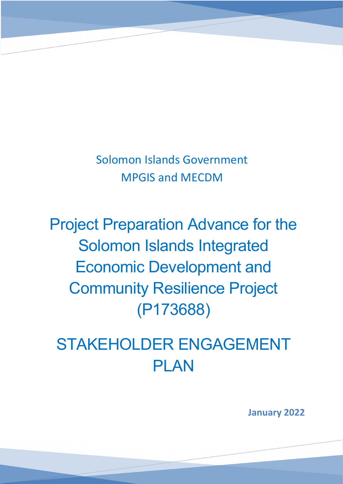Solomon Islands Government MPGIS and MECDM

Project Preparation Advance for the Solomon Islands Integrated Economic Development and Community Resilience Project (P173688)

STAKEHOLDER ENGAGEMENT PLAN

**January 2022**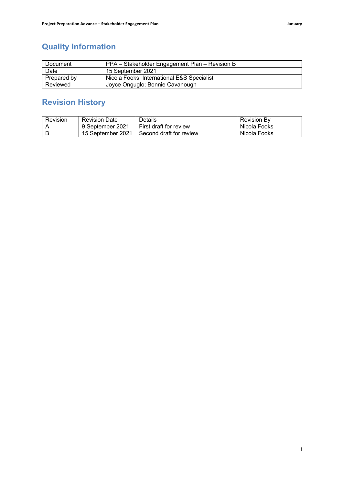# **Quality Information**

| Document    | PPA - Stakeholder Engagement Plan - Revision B |
|-------------|------------------------------------------------|
| Date        | 15 September 2021                              |
| Prepared by | Nicola Fooks, International E&S Specialist     |
| Reviewed    | Joyce Onguglo; Bonnie Cavanough                |

# **Revision History**

| Revision | <b>Revision Date</b> | Details                   | <b>Revision By</b> |
|----------|----------------------|---------------------------|--------------------|
|          | 9 September 2021     | First draft for review    | Nicola Fooks       |
|          | 15 September 2021    | l Second draft for review | Nicola Fooks       |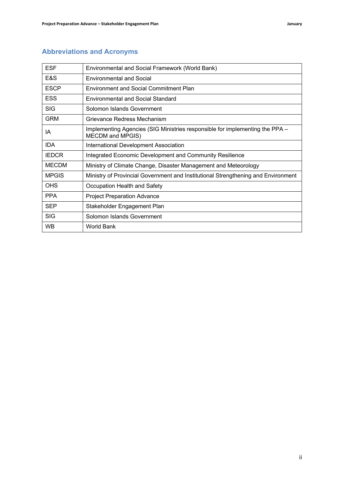| <b>ESF</b>   | Environmental and Social Framework (World Bank)                                                  |
|--------------|--------------------------------------------------------------------------------------------------|
| E&S          | <b>Environmental and Social</b>                                                                  |
| <b>ESCP</b>  | <b>Environment and Social Commitment Plan</b>                                                    |
| <b>ESS</b>   | Environmental and Social Standard                                                                |
| <b>SIG</b>   | Solomon Islands Government                                                                       |
| <b>GRM</b>   | Grievance Redress Mechanism                                                                      |
| ΙA           | Implementing Agencies (SIG Ministries responsible for implementing the PPA –<br>MECDM and MPGIS) |
| <b>IDA</b>   | International Development Association                                                            |
| <b>IEDCR</b> | Integrated Economic Development and Community Resilience                                         |
| <b>MECDM</b> | Ministry of Climate Change, Disaster Management and Meteorology                                  |
| <b>MPGIS</b> | Ministry of Provincial Government and Institutional Strengthening and Environment                |
| OHS          | Occupation Health and Safety                                                                     |
| <b>PPA</b>   | <b>Project Preparation Advance</b>                                                               |
| SEP          | Stakeholder Engagement Plan                                                                      |
| <b>SIG</b>   | Solomon Islands Government                                                                       |
| WB           | World Bank                                                                                       |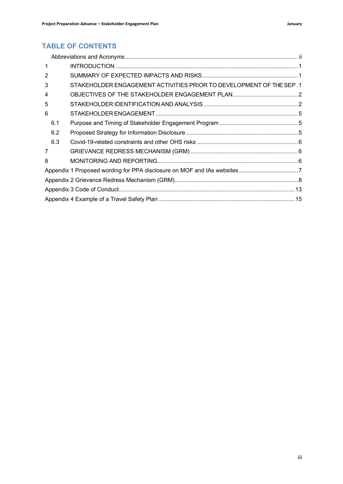## **TABLE OF CONTENTS**

| $\mathbf{1}$   |                                                                      |  |
|----------------|----------------------------------------------------------------------|--|
| $\overline{2}$ |                                                                      |  |
| 3              | STAKEHOLDER ENGAGEMENT ACTIVITIES PRIOR TO DEVELOPMENT OF THE SEP. 1 |  |
| 4              |                                                                      |  |
| 5              |                                                                      |  |
| 6              |                                                                      |  |
| 6.1            |                                                                      |  |
| 6.2            |                                                                      |  |
| 6.3            |                                                                      |  |
| 7              |                                                                      |  |
| 8              |                                                                      |  |
|                |                                                                      |  |
|                |                                                                      |  |
|                |                                                                      |  |
|                |                                                                      |  |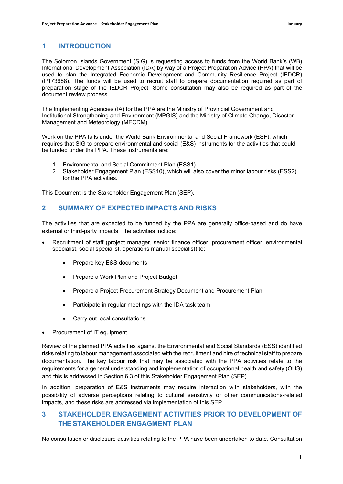### **1 INTRODUCTION**

The Solomon Islands Government (SIG) is requesting access to funds from the World Bank's (WB) International Development Association (IDA) by way of a Project Preparation Advice (PPA) that will be used to plan the Integrated Economic Development and Community Resilience Project (IEDCR) (P173688). The funds will be used to recruit staff to prepare documentation required as part of preparation stage of the IEDCR Project. Some consultation may also be required as part of the document review process.

The Implementing Agencies (IA) for the PPA are the Ministry of Provincial Government and Institutional Strengthening and Environment (MPGIS) and the Ministry of Climate Change, Disaster Management and Meteorology (MECDM).

Work on the PPA falls under the World Bank Environmental and Social Framework (ESF), which requires that SIG to prepare environmental and social (E&S) instruments for the activities that could be funded under the PPA. These instruments are:

- 1. Environmental and Social Commitment Plan (ESS1)
- 2. Stakeholder Engagement Plan (ESS10), which will also cover the minor labour risks (ESS2) for the PPA activities.

This Document is the Stakeholder Engagement Plan (SEP).

### **2 SUMMARY OF EXPECTED IMPACTS AND RISKS**

The activities that are expected to be funded by the PPA are generally office-based and do have external or third-party impacts. The activities include:

- Recruitment of staff (project manager, senior finance officer, procurement officer, environmental specialist, social specialist, operations manual specialist) to:
	- Prepare key E&S documents
	- Prepare a Work Plan and Project Budget
	- Prepare a Project Procurement Strategy Document and Procurement Plan
	- Participate in regular meetings with the IDA task team
	- Carry out local consultations
- Procurement of IT equipment.

Review of the planned PPA activities against the Environmental and Social Standards (ESS) identified risks relating to labour management associated with the recruitment and hire of technical staff to prepare documentation. The key labour risk that may be associated with the PPA activities relate to the requirements for a general understanding and implementation of occupational health and safety (OHS) and this is addressed in Section 6.3 of this Stakeholder Engagement Plan (SEP).

In addition, preparation of E&S instruments may require interaction with stakeholders, with the possibility of adverse perceptions relating to cultural sensitivity or other communications-related impacts, and these risks are addressed via implementation of this SEP..

## **3 STAKEHOLDER ENGAGEMENT ACTIVITIES PRIOR TO DEVELOPMENT OF THE STAKEHOLDER ENGAGMENT PLAN**

No consultation or disclosure activities relating to the PPA have been undertaken to date. Consultation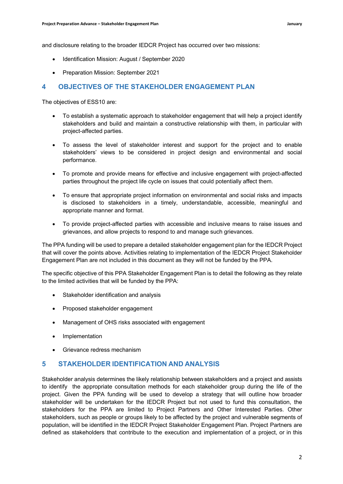and disclosure relating to the broader IEDCR Project has occurred over two missions:

- Identification Mission: August / September 2020
- Preparation Mission: September 2021

#### **4 OBJECTIVES OF THE STAKEHOLDER ENGAGEMENT PLAN**

The objectives of ESS10 are:

- To establish a systematic approach to stakeholder engagement that will help a project identify stakeholders and build and maintain a constructive relationship with them, in particular with project-affected parties.
- To assess the level of stakeholder interest and support for the project and to enable stakeholders' views to be considered in project design and environmental and social performance.
- To promote and provide means for effective and inclusive engagement with project-affected parties throughout the project life cycle on issues that could potentially affect them.
- To ensure that appropriate project information on environmental and social risks and impacts is disclosed to stakeholders in a timely, understandable, accessible, meaningful and appropriate manner and format.
- To provide project-affected parties with accessible and inclusive means to raise issues and grievances, and allow projects to respond to and manage such grievances.

The PPA funding will be used to prepare a detailed stakeholder engagement plan for the IEDCR Project that will cover the points above. Activities relating to implementation of the IEDCR Project Stakeholder Engagement Plan are not included in this document as they will not be funded by the PPA.

The specific objective of this PPA Stakeholder Engagement Plan is to detail the following as they relate to the limited activities that will be funded by the PPA:

- Stakeholder identification and analysis
- Proposed stakeholder engagement
- Management of OHS risks associated with engagement
- Implementation
- Grievance redress mechanism

#### **5 STAKEHOLDER IDENTIFICATION AND ANALYSIS**

Stakeholder analysis determines the likely relationship between stakeholders and a project and assists to identify the appropriate consultation methods for each stakeholder group during the life of the project. Given the PPA funding will be used to develop a strategy that will outline how broader stakeholder will be undertaken for the IEDCR Project but not used to fund this consultation, the stakeholders for the PPA are limited to Project Partners and Other Interested Parties. Other stakeholders, such as people or groups likely to be affected by the project and vulnerable segments of population, will be identified in the IEDCR Project Stakeholder Engagement Plan. Project Partners are defined as stakeholders that contribute to the execution and implementation of a project, or in this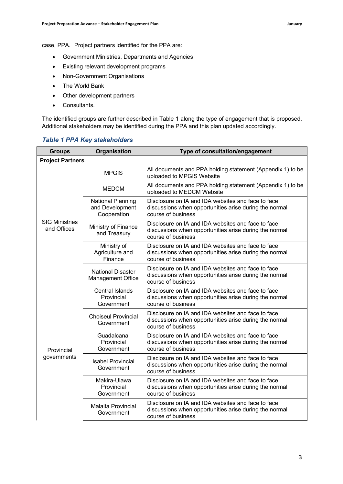case, PPA. Project partners identified for the PPA are:

- Government Ministries, Departments and Agencies
- Existing relevant development programs
- Non-Government Organisations
- The World Bank
- Other development partners
- Consultants.

The identified groups are further described in Table 1 along the type of engagement that is proposed. Additional stakeholders may be identified during the PPA and this plan updated accordingly.

#### *Table 1 PPA Key stakeholders*

| <b>Groups</b>                        | Organisation                                         | Type of consultation/engagement                                                                                                    |  |  |  |
|--------------------------------------|------------------------------------------------------|------------------------------------------------------------------------------------------------------------------------------------|--|--|--|
| <b>Project Partners</b>              |                                                      |                                                                                                                                    |  |  |  |
|                                      | <b>MPGIS</b>                                         | All documents and PPA holding statement (Appendix 1) to be<br>uploaded to MPGIS Website                                            |  |  |  |
|                                      | <b>MEDCM</b>                                         | All documents and PPA holding statement (Appendix 1) to be<br>uploaded to MEDCM Website                                            |  |  |  |
|                                      | National Planning<br>and Development<br>Cooperation  | Disclosure on IA and IDA websites and face to face<br>discussions when opportunities arise during the normal<br>course of business |  |  |  |
| <b>SIG Ministries</b><br>and Offices | Ministry of Finance<br>and Treasury                  | Disclosure on IA and IDA websites and face to face<br>discussions when opportunities arise during the normal<br>course of business |  |  |  |
|                                      | Ministry of<br>Agriculture and<br>Finance            | Disclosure on IA and IDA websites and face to face<br>discussions when opportunities arise during the normal<br>course of business |  |  |  |
|                                      | <b>National Disaster</b><br><b>Management Office</b> | Disclosure on IA and IDA websites and face to face<br>discussions when opportunities arise during the normal<br>course of business |  |  |  |
|                                      | <b>Central Islands</b><br>Provincial<br>Government   | Disclosure on IA and IDA websites and face to face<br>discussions when opportunities arise during the normal<br>course of business |  |  |  |
|                                      | <b>Choiseul Provincial</b><br>Government             | Disclosure on IA and IDA websites and face to face<br>discussions when opportunities arise during the normal<br>course of business |  |  |  |
| Provincial                           | Guadalcanal<br>Provincial<br>Government              | Disclosure on IA and IDA websites and face to face<br>discussions when opportunities arise during the normal<br>course of business |  |  |  |
| governments                          | <b>Isabel Provincial</b><br>Government               | Disclosure on IA and IDA websites and face to face<br>discussions when opportunities arise during the normal<br>course of business |  |  |  |
|                                      | Makira-Ulawa<br>Provincial<br>Government             | Disclosure on IA and IDA websites and face to face<br>discussions when opportunities arise during the normal<br>course of business |  |  |  |
|                                      | <b>Malaita Provincial</b><br>Government              | Disclosure on IA and IDA websites and face to face<br>discussions when opportunities arise during the normal<br>course of business |  |  |  |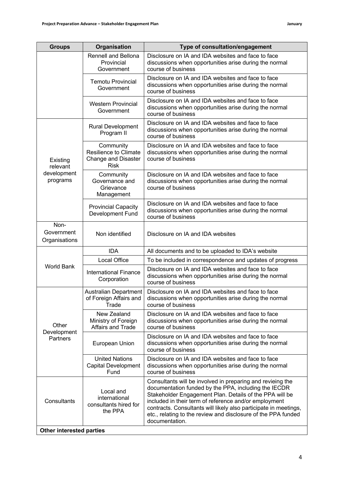| <b>Groups</b>                       | Organisation                                                                           | Type of consultation/engagement                                                                                                                                                                                                                                                                                                                                                               |
|-------------------------------------|----------------------------------------------------------------------------------------|-----------------------------------------------------------------------------------------------------------------------------------------------------------------------------------------------------------------------------------------------------------------------------------------------------------------------------------------------------------------------------------------------|
|                                     | Rennell and Bellona<br>Provincial<br>Government                                        | Disclosure on IA and IDA websites and face to face<br>discussions when opportunities arise during the normal<br>course of business                                                                                                                                                                                                                                                            |
|                                     | <b>Temotu Provincial</b><br>Government                                                 | Disclosure on IA and IDA websites and face to face<br>discussions when opportunities arise during the normal<br>course of business                                                                                                                                                                                                                                                            |
|                                     | <b>Western Provincial</b><br>Government                                                | Disclosure on IA and IDA websites and face to face<br>discussions when opportunities arise during the normal<br>course of business                                                                                                                                                                                                                                                            |
|                                     | <b>Rural Development</b><br>Program II                                                 | Disclosure on IA and IDA websites and face to face<br>discussions when opportunities arise during the normal<br>course of business                                                                                                                                                                                                                                                            |
| Existing<br>relevant                | Community<br><b>Resilience to Climate</b><br><b>Change and Disaster</b><br><b>Risk</b> | Disclosure on IA and IDA websites and face to face<br>discussions when opportunities arise during the normal<br>course of business                                                                                                                                                                                                                                                            |
| development<br>programs             | Community<br>Governance and<br>Grievance<br>Management                                 | Disclosure on IA and IDA websites and face to face<br>discussions when opportunities arise during the normal<br>course of business                                                                                                                                                                                                                                                            |
|                                     | <b>Provincial Capacity</b><br>Development Fund                                         | Disclosure on IA and IDA websites and face to face<br>discussions when opportunities arise during the normal<br>course of business                                                                                                                                                                                                                                                            |
| Non-<br>Government<br>Organisations | Non identified                                                                         | Disclosure on IA and IDA websites                                                                                                                                                                                                                                                                                                                                                             |
|                                     | <b>IDA</b>                                                                             | All documents and to be uploaded to IDA's website                                                                                                                                                                                                                                                                                                                                             |
|                                     | Local Office                                                                           | To be included in correspondence and updates of progress                                                                                                                                                                                                                                                                                                                                      |
| <b>World Bank</b>                   | <b>International Finance</b><br>Corporation                                            | Disclosure on IA and IDA websites and face to face<br>discussions when opportunities arise during the normal<br>course of business                                                                                                                                                                                                                                                            |
|                                     | <b>Australian Department</b><br>of Foreign Affairs and<br>Trade                        | Disclosure on IA and IDA websites and face to face<br>discussions when opportunities arise during the normal<br>course of business                                                                                                                                                                                                                                                            |
| Other                               | New Zealand<br>Ministry of Foreign<br><b>Affairs and Trade</b>                         | Disclosure on IA and IDA websites and face to face<br>discussions when opportunities arise during the normal<br>course of business                                                                                                                                                                                                                                                            |
| Development<br>Partners             | European Union                                                                         | Disclosure on IA and IDA websites and face to face<br>discussions when opportunities arise during the normal<br>course of business                                                                                                                                                                                                                                                            |
|                                     | <b>United Nations</b><br><b>Capital Development</b><br>Fund                            | Disclosure on IA and IDA websites and face to face<br>discussions when opportunities arise during the normal<br>course of business                                                                                                                                                                                                                                                            |
| Consultants                         | Local and<br>international<br>consultants hired for<br>the PPA                         | Consultants will be involved in preparing and revieing the<br>documentation funded by the PPA, including the IECDR<br>Stakeholder Engagement Plan. Details of the PPA will be<br>included in their term of reference and/or employment<br>contracts. Consultants will likely also participate in meetings,<br>etc., relating to the review and disclosure of the PPA funded<br>documentation. |
| <b>Other interested parties</b>     |                                                                                        |                                                                                                                                                                                                                                                                                                                                                                                               |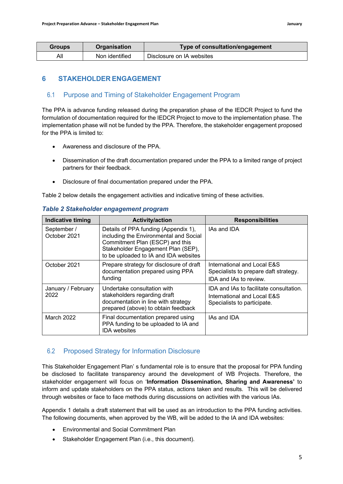| <b>Groups</b> | <b>Organisation</b> | Type of consultation/engagement |
|---------------|---------------------|---------------------------------|
| All           | Non identified      | Disclosure on IA websites       |

## **6 STAKEHOLDER ENGAGEMENT**

### 6.1 Purpose and Timing of Stakeholder Engagement Program

The PPA is advance funding released during the preparation phase of the IEDCR Project to fund the formulation of documentation required for the IEDCR Project to move to the implementation phase. The implementation phase will not be funded by the PPA. Therefore, the stakeholder engagement proposed for the PPA is limited to:

- Awareness and disclosure of the PPA.
- Dissemination of the draft documentation prepared under the PPA to a limited range of project partners for their feedback.
- Disclosure of final documentation prepared under the PPA.

Table 2 below details the engagement activities and indicative timing of these activities.

| <b>Indicative timing</b>    | <b>Activity/action</b>                                                                                                                                                                           | <b>Responsibilities</b>                                                                               |
|-----------------------------|--------------------------------------------------------------------------------------------------------------------------------------------------------------------------------------------------|-------------------------------------------------------------------------------------------------------|
| September /<br>October 2021 | Details of PPA funding (Appendix 1),<br>including the Environmental and Social<br>Commitment Plan (ESCP) and this<br>Stakeholder Engagement Plan (SEP),<br>to be uploaded to IA and IDA websites | IAs and IDA                                                                                           |
| October 2021                | Prepare strategy for disclosure of draft<br>documentation prepared using PPA<br>funding                                                                                                          | International and Local E&S<br>Specialists to prepare daft strategy.<br>IDA and IAs to review.        |
| January / February<br>2022  | Undertake consultation with<br>stakeholders regarding draft<br>documentation in line with strategy<br>prepared (above) to obtain feedback                                                        | IDA and IAs to facilitate consultation.<br>International and Local E&S<br>Specialists to participate. |
| March 2022                  | Final documentation prepared using<br>PPA funding to be uploaded to IA and<br><b>IDA</b> websites                                                                                                | IAs and IDA                                                                                           |

#### *Table 2 Stakeholder engagement program*

## 6.2 Proposed Strategy for Information Disclosure

This Stakeholder Engagement Plan' s fundamental role is to ensure that the proposal for PPA funding be disclosed to facilitate transparency around the development of WB Projects. Therefore, the stakeholder engagement will focus on '**Information Dissemination, Sharing and Awareness'** to inform and update stakeholders on the PPA status, actions taken and results. This will be delivered through websites or face to face methods during discussions on activities with the various IAs.

Appendix 1 details a draft statement that will be used as an introduction to the PPA funding activities. The following documents, when approved by the WB, will be added to the IA and IDA websites:

- Environmental and Social Commitment Plan
- Stakeholder Engagement Plan (i.e., this document).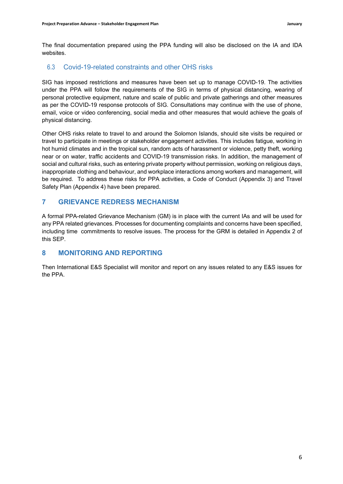The final documentation prepared using the PPA funding will also be disclosed on the IA and IDA websites.

## 6.3 Covid-19-related constraints and other OHS risks

SIG has imposed restrictions and measures have been set up to manage COVID-19. The activities under the PPA will follow the requirements of the SIG in terms of physical distancing, wearing of personal protective equipment, nature and scale of public and private gatherings and other measures as per the COVID-19 response protocols of SIG. Consultations may continue with the use of phone, email, voice or video conferencing, social media and other measures that would achieve the goals of physical distancing.

Other OHS risks relate to travel to and around the Solomon Islands, should site visits be required or travel to participate in meetings or stakeholder engagement activities. This includes fatigue, working in hot humid climates and in the tropical sun, random acts of harassment or violence, petty theft, working near or on water, traffic accidents and COVID-19 transmission risks. In addition, the management of social and cultural risks, such as entering private property without permission, working on religious days, inappropriate clothing and behaviour, and workplace interactions among workers and management, will be required. To address these risks for PPA activities, a Code of Conduct (Appendix 3) and Travel Safety Plan (Appendix 4) have been prepared.

## **7 GRIEVANCE REDRESS MECHANISM**

A formal PPA-related Grievance Mechanism (GM) is in place with the current IAs and will be used for any PPA related grievances. Processes for documenting complaints and concerns have been specified, including time commitments to resolve issues. The process for the GRM is detailed in Appendix 2 of this SEP.

## **8 MONITORING AND REPORTING**

Then International E&S Specialist will monitor and report on any issues related to any E&S issues for the PPA.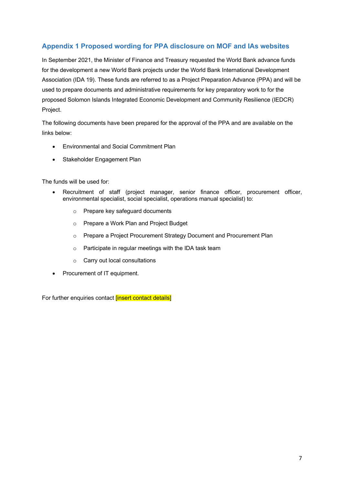## **Appendix 1 Proposed wording for PPA disclosure on MOF and IAs websites**

In September 2021, the Minister of Finance and Treasury requested the World Bank advance funds for the development a new World Bank projects under the World Bank International Development Association (IDA 19). These funds are referred to as a Project Preparation Advance (PPA) and will be used to prepare documents and administrative requirements for key preparatory work to for the proposed Solomon Islands Integrated Economic Development and Community Resilience (IEDCR) Project.

The following documents have been prepared for the approval of the PPA and are available on the links below:

- Environmental and Social Commitment Plan
- Stakeholder Engagement Plan

The funds will be used for:

- Recruitment of staff (project manager, senior finance officer, procurement officer, environmental specialist, social specialist, operations manual specialist) to:
	- o Prepare key safeguard documents
	- o Prepare a Work Plan and Project Budget
	- o Prepare a Project Procurement Strategy Document and Procurement Plan
	- o Participate in regular meetings with the IDA task team
	- o Carry out local consultations
- Procurement of IT equipment.

For further enquiries contact *[insert contact details]*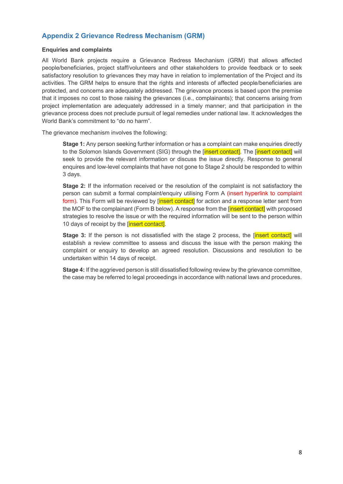## **Appendix 2 Grievance Redress Mechanism (GRM)**

#### **Enquiries and complaints**

All World Bank projects require a Grievance Redress Mechanism (GRM) that allows affected people/beneficiaries, project staff/volunteers and other stakeholders to provide feedback or to seek satisfactory resolution to grievances they may have in relation to implementation of the Project and its activities. The GRM helps to ensure that the rights and interests of affected people/beneficiaries are protected, and concerns are adequately addressed. The grievance process is based upon the premise that it imposes no cost to those raising the grievances (i.e., complainants); that concerns arising from project implementation are adequately addressed in a timely manner; and that participation in the grievance process does not preclude pursuit of legal remedies under national law. It acknowledges the World Bank's commitment to "do no harm".

The grievance mechanism involves the following:

**Stage 1:** Any person seeking further information or has a complaint can make enquiries directly to the Solomon Islands Government (SIG) through the *[insert contact]*. The *[insert contact]* will seek to provide the relevant information or discuss the issue directly. Response to general enquires and low-level complaints that have not gone to Stage 2 should be responded to within 3 days.

**Stage 2:** If the information received or the resolution of the complaint is not satisfactory the person can submit a formal complaint/enquiry utilising Form A (insert hyperlink to complaint form). This Form will be reviewed by [insert contact] for action and a response letter sent from the MOF to the complainant (Form B below). A response from the [insert contact] with proposed strategies to resolve the issue or with the required information will be sent to the person within 10 days of receipt by the linsert contactl.

**Stage 3:** If the person is not dissatisfied with the stage 2 process, the [insert contact] will establish a review committee to assess and discuss the issue with the person making the complaint or enquiry to develop an agreed resolution. Discussions and resolution to be undertaken within 14 days of receipt.

**Stage 4:** If the aggrieved person is still dissatisfied following review by the grievance committee, the case may be referred to legal proceedings in accordance with national laws and procedures.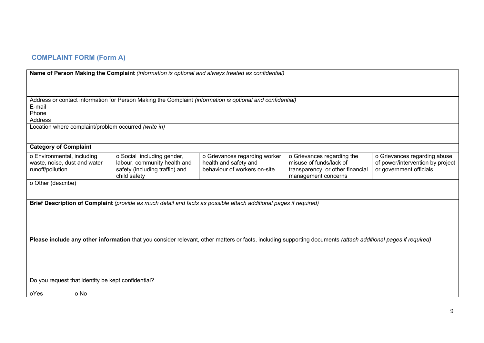# **COMPLAINT FORM (Form A)**

| Name of Person Making the Complaint (information is optional and always treated as confidential) |                                                                                                                                                               |                                                                                        |                                                                                                                  |                                                                                             |  |
|--------------------------------------------------------------------------------------------------|---------------------------------------------------------------------------------------------------------------------------------------------------------------|----------------------------------------------------------------------------------------|------------------------------------------------------------------------------------------------------------------|---------------------------------------------------------------------------------------------|--|
|                                                                                                  |                                                                                                                                                               |                                                                                        |                                                                                                                  |                                                                                             |  |
| E-mail                                                                                           | Address or contact information for Person Making the Complaint (information is optional and confidential)                                                     |                                                                                        |                                                                                                                  |                                                                                             |  |
| Phone<br>Address                                                                                 |                                                                                                                                                               |                                                                                        |                                                                                                                  |                                                                                             |  |
| Location where complaint/problem occurred (write in)                                             |                                                                                                                                                               |                                                                                        |                                                                                                                  |                                                                                             |  |
|                                                                                                  |                                                                                                                                                               |                                                                                        |                                                                                                                  |                                                                                             |  |
|                                                                                                  |                                                                                                                                                               |                                                                                        |                                                                                                                  |                                                                                             |  |
| <b>Category of Complaint</b>                                                                     |                                                                                                                                                               |                                                                                        |                                                                                                                  |                                                                                             |  |
| o Environmental, including<br>waste, noise, dust and water<br>runoff/pollution                   | o Social including gender,<br>labour, community health and<br>safety (including traffic) and<br>child safety                                                  | o Grievances regarding worker<br>health and safety and<br>behaviour of workers on-site | o Grievances regarding the<br>misuse of funds/lack of<br>transparency, or other financial<br>management concerns | o Grievances regarding abuse<br>of power/intervention by project<br>or government officials |  |
| o Other (describe)                                                                               |                                                                                                                                                               |                                                                                        |                                                                                                                  |                                                                                             |  |
|                                                                                                  |                                                                                                                                                               |                                                                                        |                                                                                                                  |                                                                                             |  |
|                                                                                                  | Brief Description of Complaint (provide as much detail and facts as possible attach additional pages if required)                                             |                                                                                        |                                                                                                                  |                                                                                             |  |
|                                                                                                  |                                                                                                                                                               |                                                                                        |                                                                                                                  |                                                                                             |  |
|                                                                                                  |                                                                                                                                                               |                                                                                        |                                                                                                                  |                                                                                             |  |
|                                                                                                  |                                                                                                                                                               |                                                                                        |                                                                                                                  |                                                                                             |  |
|                                                                                                  |                                                                                                                                                               |                                                                                        |                                                                                                                  |                                                                                             |  |
|                                                                                                  | Please include any other information that you consider relevant, other matters or facts, including supporting documents (attach additional pages if required) |                                                                                        |                                                                                                                  |                                                                                             |  |
|                                                                                                  |                                                                                                                                                               |                                                                                        |                                                                                                                  |                                                                                             |  |
|                                                                                                  |                                                                                                                                                               |                                                                                        |                                                                                                                  |                                                                                             |  |
|                                                                                                  |                                                                                                                                                               |                                                                                        |                                                                                                                  |                                                                                             |  |
|                                                                                                  |                                                                                                                                                               |                                                                                        |                                                                                                                  |                                                                                             |  |
| Do you request that identity be kept confidential?                                               |                                                                                                                                                               |                                                                                        |                                                                                                                  |                                                                                             |  |
| o No<br>oYes                                                                                     |                                                                                                                                                               |                                                                                        |                                                                                                                  |                                                                                             |  |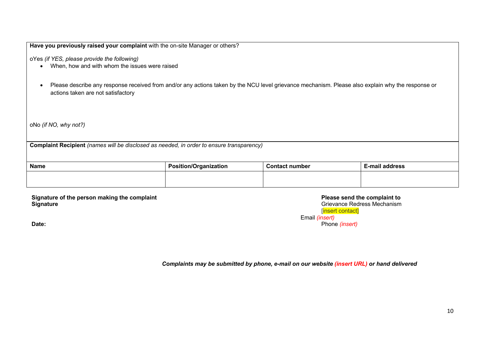**Have you previously raised your complaint** with the on-site Manager or others?

oYes *(if YES, please provide the following)*

- When, how and with whom the issues were raised
- Please describe any response received from and/or any actions taken by the NCU level grievance mechanism. Please also explain why the response or actions taken are not satisfactory

oNo *(if NO, why not?)*

**Complaint Recipient** *(names will be disclosed as needed, in order to ensure transparency)*

| <b>Name</b> | .<br>osition/Organization<br><b>Doc</b> | <b>Contact number</b> | <b>E-mail address</b> |
|-------------|-----------------------------------------|-----------------------|-----------------------|
|             |                                         |                       |                       |
|             |                                         |                       |                       |

**Signature of the person making the complaint<br>
Signature Complaint Complaint Complaint Complaint Complaint Complaint to<br>
Signature Complaint Complaint Complaint Complaint Complaint Complaint Complaint Complaint Complaint C** 

**Grievance Redress Mechanism** [insert contact] Email *(insert)* Date: Phone *(insert)* Phone *(insert)* 

*Complaints may be submitted by phone, e-mail on our website (insert URL) or hand delivered*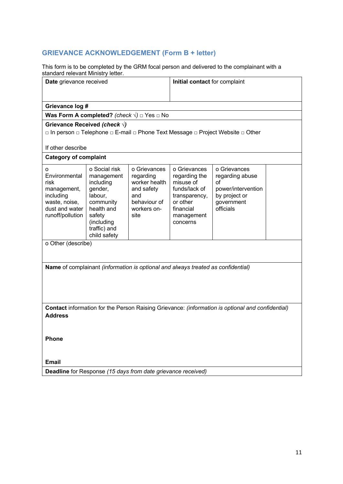## **GRIEVANCE ACKNOWLEDGEMENT (Form B + letter)**

This form is to be completed by the GRM focal person and delivered to the complainant with a standard relevant Ministry letter.

| Date grievance received                                                                                       |                                                                                                                                                                                                                                                                                                                                                                                                                                                                                                           |  | Initial contact for complaint |                                                                                                  |  |  |
|---------------------------------------------------------------------------------------------------------------|-----------------------------------------------------------------------------------------------------------------------------------------------------------------------------------------------------------------------------------------------------------------------------------------------------------------------------------------------------------------------------------------------------------------------------------------------------------------------------------------------------------|--|-------------------------------|--------------------------------------------------------------------------------------------------|--|--|
| Grievance log #                                                                                               |                                                                                                                                                                                                                                                                                                                                                                                                                                                                                                           |  |                               |                                                                                                  |  |  |
|                                                                                                               | <b>Was Form A completed?</b> (check $\sqrt{ }$ ) $\Box$ Yes $\Box$ No                                                                                                                                                                                                                                                                                                                                                                                                                                     |  |                               |                                                                                                  |  |  |
|                                                                                                               | Grievance Received (check $\sqrt{ }$ )                                                                                                                                                                                                                                                                                                                                                                                                                                                                    |  |                               |                                                                                                  |  |  |
|                                                                                                               |                                                                                                                                                                                                                                                                                                                                                                                                                                                                                                           |  |                               | □ In person □ Telephone □ E-mail □ Phone Text Message □ Project Website □ Other                  |  |  |
| If other describe                                                                                             |                                                                                                                                                                                                                                                                                                                                                                                                                                                                                                           |  |                               |                                                                                                  |  |  |
| <b>Category of complaint</b>                                                                                  |                                                                                                                                                                                                                                                                                                                                                                                                                                                                                                           |  |                               |                                                                                                  |  |  |
| O<br>Environmental<br>risk<br>management,<br>including<br>waste, noise,<br>dust and water<br>runoff/pollution | o Social risk<br>o Grievances<br>o Grievances<br>o Grievances<br>regarding abuse<br>management<br>regarding<br>regarding the<br>worker health<br>misuse of<br>including<br>of<br>funds/lack of<br>power/intervention<br>gender,<br>and safety<br>labour,<br>and<br>transparency,<br>by project or<br>behaviour of<br>community<br>or other<br>government<br>health and<br>financial<br>officials<br>workers on-<br>safety<br>site<br>management<br>(including<br>concerns<br>traffic) and<br>child safety |  |                               |                                                                                                  |  |  |
| o Other (describe)                                                                                            |                                                                                                                                                                                                                                                                                                                                                                                                                                                                                                           |  |                               |                                                                                                  |  |  |
| Name of complainant (information is optional and always treated as confidential)                              |                                                                                                                                                                                                                                                                                                                                                                                                                                                                                                           |  |                               |                                                                                                  |  |  |
|                                                                                                               |                                                                                                                                                                                                                                                                                                                                                                                                                                                                                                           |  |                               | Contact information for the Person Raising Grievance: (information is optional and confidential) |  |  |
| <b>Address</b>                                                                                                |                                                                                                                                                                                                                                                                                                                                                                                                                                                                                                           |  |                               |                                                                                                  |  |  |
| <b>Phone</b>                                                                                                  |                                                                                                                                                                                                                                                                                                                                                                                                                                                                                                           |  |                               |                                                                                                  |  |  |
| <b>Email</b>                                                                                                  |                                                                                                                                                                                                                                                                                                                                                                                                                                                                                                           |  |                               |                                                                                                  |  |  |
| Deadline for Response (15 days from date grievance received)                                                  |                                                                                                                                                                                                                                                                                                                                                                                                                                                                                                           |  |                               |                                                                                                  |  |  |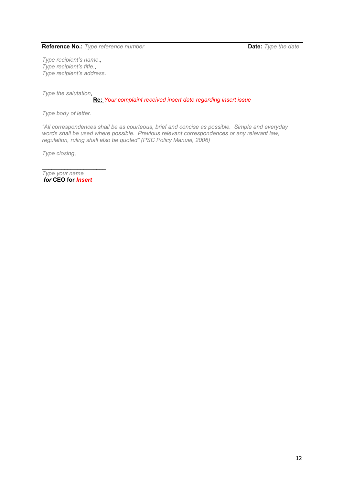#### **Reference No.:** *Type reference number* **Date:** *Type the date*

*Type recipient's name*., *Type recipient's title*., *Type recipient's address*.

*Type the salutation*,

#### **Re:** *Your complaint received insert date regarding insert issue*

*Type body of letter.* 

*"All correspondences shall be as courteous, brief and concise as possible. Simple and everyday words shall be used where possible. Previous relevant correspondences or any relevant law, regulation, ruling shall also be quoted" (PSC Policy Manual, 2006)*

*Type closing*,

*Type your name for* **CEO for** *Insert*

 $\mathcal{L}$  , we can also the set of the set of the set of the set of the set of the set of the set of the set of the set of the set of the set of the set of the set of the set of the set of the set of the set of the set of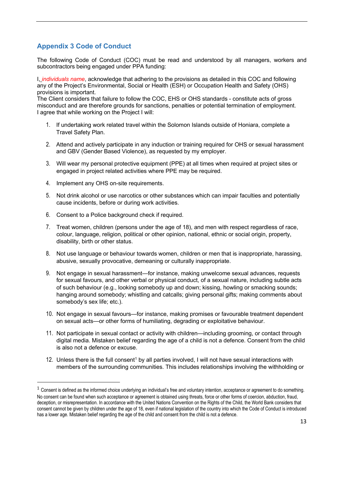## **Appendix 3 Code of Conduct**

The following Code of Conduct (COC) must be read and understood by all managers, workers and subcontractors being engaged under PPA funding:

I, *individuals name*, acknowledge that adhering to the provisions as detailed in this COC and following any of the Project's Environmental, Social or Health (ESH) or Occupation Health and Safety (OHS) provisions is important.

The Client considers that failure to follow the COC, EHS or OHS standards - constitute acts of gross misconduct and are therefore grounds for sanctions, penalties or potential termination of employment. I agree that while working on the Project I will:

- 1. If undertaking work related travel within the Solomon Islands outside of Honiara, complete a Travel Safety Plan.
- 2. Attend and actively participate in any induction or training required for OHS or sexual harassment and GBV (Gender Based Violence), as requested by my employer.
- 3. Will wear my personal protective equipment (PPE) at all times when required at project sites or engaged in project related activities where PPE may be required.
- 4. Implement any OHS on-site requirements.
- 5. Not drink alcohol or use narcotics or other substances which can impair faculties and potentially cause incidents, before or during work activities.
- 6. Consent to a Police background check if required.
- 7. Treat women, children (persons under the age of 18), and men with respect regardless of race, colour, language, religion, political or other opinion, national, ethnic or social origin, property, disability, birth or other status.
- 8. Not use language or behaviour towards women, children or men that is inappropriate, harassing, abusive, sexually provocative, demeaning or culturally inappropriate.
- 9. Not engage in sexual harassment—for instance, making unwelcome sexual advances, requests for sexual favours, and other verbal or physical conduct, of a sexual nature, including subtle acts of such behaviour (e.g., looking somebody up and down; kissing, howling or smacking sounds; hanging around somebody; whistling and catcalls; giving personal gifts; making comments about somebody's sex life; etc.).
- 10. Not engage in sexual favours—for instance, making promises or favourable treatment dependent on sexual acts—or other forms of humiliating, degrading or exploitative behaviour.
- 11. Not participate in sexual contact or activity with children—including grooming, or contact through digital media. Mistaken belief regarding the age of a child is not a defence. Consent from the child is also not a defence or excuse.
- 12. Unless there is the full consent<sup>1</sup> by all parties involved, I will not have sexual interactions with members of the surrounding communities. This includes relationships involving the withholding or

 $1$  Consent is defined as the informed choice underlying an individual's free and voluntary intention, acceptance or agreement to do something. No consent can be found when such acceptance or agreement is obtained using threats, force or other forms of coercion, abduction, fraud, deception, or misrepresentation. In accordance with the United Nations Convention on the Rights of the Child, the World Bank considers that consent cannot be given by children under the age of 18, even if national legislation of the country into which the Code of Conduct is introduced has a lower age. Mistaken belief regarding the age of the child and consent from the child is not a defence.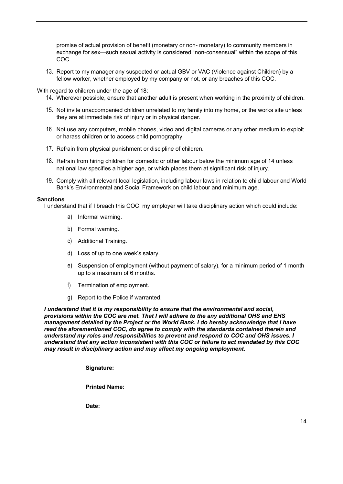promise of actual provision of benefit (monetary or non- monetary) to community members in exchange for sex—such sexual activity is considered "non-consensual" within the scope of this COC.

13. Report to my manager any suspected or actual GBV or VAC (Violence against Children) by a fellow worker, whether employed by my company or not, or any breaches of this COC.

With regard to children under the age of 18:

- 14. Wherever possible, ensure that another adult is present when working in the proximity of children.
- 15. Not invite unaccompanied children unrelated to my family into my home, or the works site unless they are at immediate risk of injury or in physical danger.
- 16. Not use any computers, mobile phones, video and digital cameras or any other medium to exploit or harass children or to access child pornography.
- 17. Refrain from physical punishment or discipline of children.
- 18. Refrain from hiring children for domestic or other labour below the minimum age of 14 unless national law specifies a higher age, or which places them at significant risk of injury.
- 19. Comply with all relevant local legislation, including labour laws in relation to child labour and World Bank's Environmental and Social Framework on child labour and minimum age.

#### **Sanctions**

I understand that if I breach this COC, my employer will take disciplinary action which could include:

- a) Informal warning.
- b) Formal warning.
- c) Additional Training.
- d) Loss of up to one week's salary.
- e) Suspension of employment (without payment of salary), for a minimum period of 1 month up to a maximum of 6 months.
- f) Termination of employment.
- g) Report to the Police if warranted.

*I understand that it is my responsibility to ensure that the environmental and social, provisions within the COC are met. That I will adhere to the any additional OHS and EHS management detailed by the Project or the World Bank. I do hereby acknowledge that I have read the aforementioned COC, do agree to comply with the standards contained therein and understand my roles and responsibilities to prevent and respond to COC and OHS issues. I understand that any action inconsistent with this COC or failure to act mandated by this COC may result in disciplinary action and may affect my ongoing employment.*

**Signature:**

**Printed Name:**

**Date:**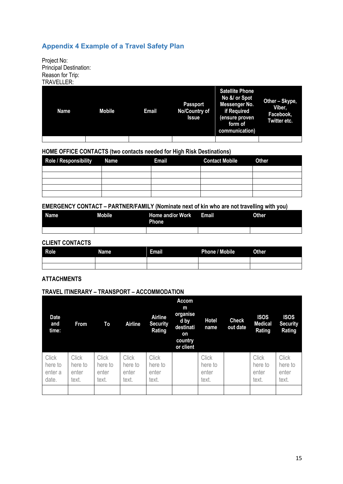## **Appendix 4 Example of a Travel Safety Plan**

Project No: Principal Destination: Reason for Trip: TRAVELLER:

| Name | <b>Mobile</b> | Email | Passport<br>No/Country of<br><b>Issue</b> | <b>Satellite Phone</b><br>No &/ or Spot<br>Messenger No.<br><b>if Required</b><br>(ensure proven<br>form of<br>communication) | Other - Skype,<br>Viber,<br>Facebook,<br>Twitter etc. |
|------|---------------|-------|-------------------------------------------|-------------------------------------------------------------------------------------------------------------------------------|-------------------------------------------------------|
|      |               |       |                                           |                                                                                                                               |                                                       |

**HOME OFFICE CONTACTS (two contacts needed for High Risk Destinations)**

| Role / Responsibility Name | Email | <b>Contact Mobile 6ther</b> |  |
|----------------------------|-------|-----------------------------|--|
|                            |       |                             |  |
|                            |       |                             |  |
|                            |       |                             |  |
|                            |       |                             |  |
|                            |       |                             |  |

**EMERGENCY CONTACT – PARTNER/FAMILY (Nominate next of kin who are not travelling with you)**

| Name | <b>Mobile</b> | Home and/or Work<br><b>Phone</b> | Email | <b>Other</b> |
|------|---------------|----------------------------------|-------|--------------|
|      |               |                                  |       |              |

**CLIENT CONTACTS** 

| Role | <b>Name</b> | Email | Phone / Mobile | <b>Other</b> |
|------|-------------|-------|----------------|--------------|
|      |             |       |                |              |
|      |             |       |                |              |

#### **ATTACHMENTS**

#### **TRAVEL ITINERARY – TRANSPORT – ACCOMMODATION**

| <b>Date</b><br>and<br>time:          | <b>From</b>                               | To                                        | Airline                                   | Airline<br><b>Security</b><br>Rating      | <b>Accom</b><br>m<br>organise<br>d by<br>destinati<br>on<br>country<br>or client | Hotel<br>name                             | <b>Check</b><br>out date | <b>ISOS</b><br><b>Medical</b><br>Rating   | <b>ISOS</b><br><b>Security</b><br>Rating  |
|--------------------------------------|-------------------------------------------|-------------------------------------------|-------------------------------------------|-------------------------------------------|----------------------------------------------------------------------------------|-------------------------------------------|--------------------------|-------------------------------------------|-------------------------------------------|
| Click<br>here to<br>enter a<br>date. | <b>Click</b><br>here to<br>enter<br>text. | <b>Click</b><br>here to<br>enter<br>text. | <b>Click</b><br>here to<br>enter<br>text. | <b>Click</b><br>here to<br>enter<br>text. |                                                                                  | <b>Click</b><br>here to<br>enter<br>text. |                          | <b>Click</b><br>here to<br>enter<br>text. | <b>Click</b><br>here to<br>enter<br>text. |
|                                      |                                           |                                           |                                           |                                           |                                                                                  |                                           |                          |                                           |                                           |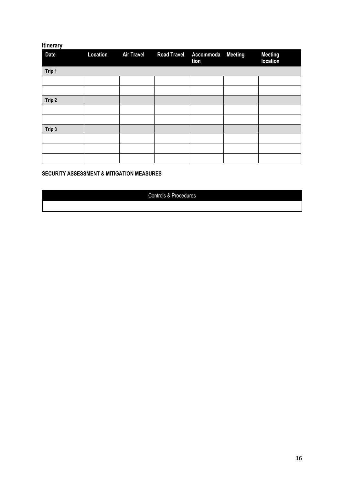| <b>Itinerary</b> |          |                   |                    |                                  |                            |
|------------------|----------|-------------------|--------------------|----------------------------------|----------------------------|
| <b>Date</b>      | Location | <b>Air Travel</b> | <b>Road Travel</b> | <b>Accommoda</b> Meeting<br>tion | <b>Meeting</b><br>location |
| Trip 1           |          |                   |                    |                                  |                            |
|                  |          |                   |                    |                                  |                            |
|                  |          |                   |                    |                                  |                            |
| Trip 2           |          |                   |                    |                                  |                            |
|                  |          |                   |                    |                                  |                            |
|                  |          |                   |                    |                                  |                            |
| Trip 3           |          |                   |                    |                                  |                            |
|                  |          |                   |                    |                                  |                            |
|                  |          |                   |                    |                                  |                            |
|                  |          |                   |                    |                                  |                            |

## **SECURITY ASSESSMENT & MITIGATION MEASURES**

Controls & Procedures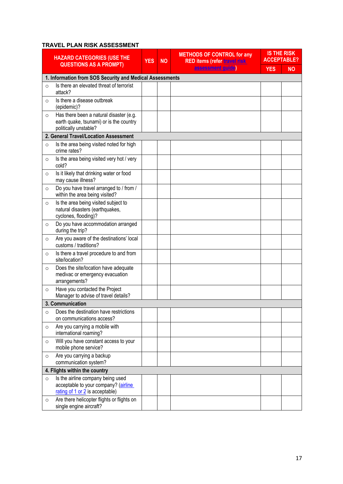### **TRAVEL PLAN RISK ASSESSMENT**

|         | <b>HAZARD CATEGORIES (USE THE</b>                                                                            | <b>YES</b> | <b>NO</b> | <b>METHODS OF CONTROL for any</b><br><b>RED items (refer travel risk</b> |            | <b>IS THE RISK</b><br><b>ACCEPTABLE?</b> |
|---------|--------------------------------------------------------------------------------------------------------------|------------|-----------|--------------------------------------------------------------------------|------------|------------------------------------------|
|         | <b>QUESTIONS AS A PROMPT)</b>                                                                                |            |           | assessment quide)                                                        | <b>YES</b> | <b>NO</b>                                |
|         | 1. Information from SOS Security and Medical Assessments                                                     |            |           |                                                                          |            |                                          |
| $\circ$ | Is there an elevated threat of terrorist<br>attack?                                                          |            |           |                                                                          |            |                                          |
| $\circ$ | Is there a disease outbreak<br>(epidemic)?                                                                   |            |           |                                                                          |            |                                          |
| $\circ$ | Has there been a natural disaster (e.g.<br>earth quake, tsunami) or is the country<br>politically unstable?  |            |           |                                                                          |            |                                          |
|         | 2. General Travel/Location Assessment                                                                        |            |           |                                                                          |            |                                          |
| $\circ$ | Is the area being visited noted for high<br>crime rates?                                                     |            |           |                                                                          |            |                                          |
| $\circ$ | Is the area being visited very hot / very<br>cold?                                                           |            |           |                                                                          |            |                                          |
| $\circ$ | Is it likely that drinking water or food<br>may cause illness?                                               |            |           |                                                                          |            |                                          |
| $\circ$ | Do you have travel arranged to / from /<br>within the area being visited?                                    |            |           |                                                                          |            |                                          |
| $\circ$ | Is the area being visited subject to<br>natural disasters (earthquakes,<br>cyclones, flooding)?              |            |           |                                                                          |            |                                          |
| $\circ$ | Do you have accommodation arranged<br>during the trip?                                                       |            |           |                                                                          |            |                                          |
| $\circ$ | Are you aware of the destinations' local<br>customs / traditions?                                            |            |           |                                                                          |            |                                          |
| $\circ$ | Is there a travel procedure to and from<br>site/location?                                                    |            |           |                                                                          |            |                                          |
| $\circ$ | Does the site/location have adequate<br>medivac or emergency evacuation<br>arrangements?                     |            |           |                                                                          |            |                                          |
| $\circ$ | Have you contacted the Project<br>Manager to advise of travel details?                                       |            |           |                                                                          |            |                                          |
|         | 3. Communication                                                                                             |            |           |                                                                          |            |                                          |
| $\circ$ | Does the destination have restrictions<br>on communications access?                                          |            |           |                                                                          |            |                                          |
| $\circ$ | Are you carrying a mobile with<br>international roaming?                                                     |            |           |                                                                          |            |                                          |
| $\circ$ | Will you have constant access to your<br>mobile phone service?                                               |            |           |                                                                          |            |                                          |
| $\circ$ | Are you carrying a backup<br>communication system?                                                           |            |           |                                                                          |            |                                          |
|         | 4. Flights within the country                                                                                |            |           |                                                                          |            |                                          |
| $\circ$ | Is the airline company being used<br>acceptable to your company? (airline<br>rating of 1 or 2 is acceptable) |            |           |                                                                          |            |                                          |
| $\circ$ | Are there helicopter flights or flights on<br>single engine aircraft?                                        |            |           |                                                                          |            |                                          |